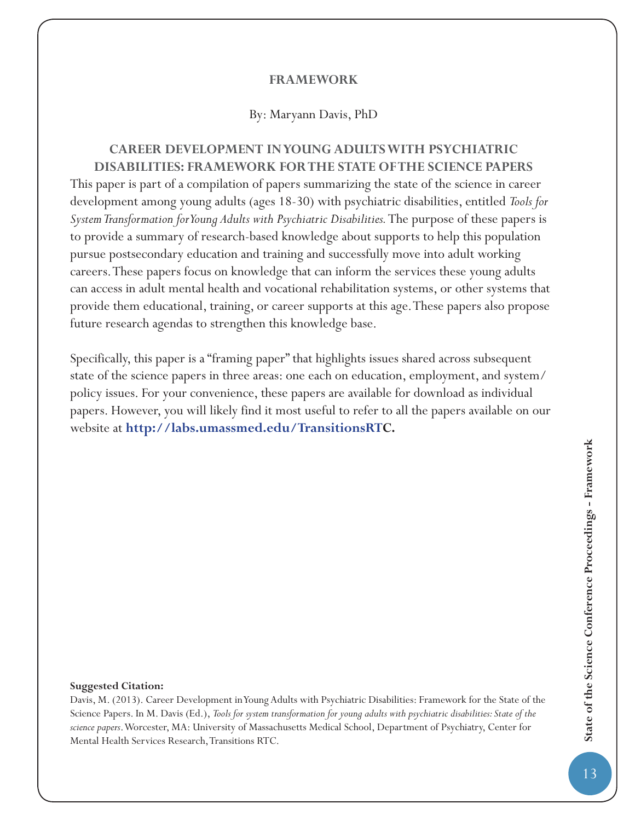### **FRAMEWORK**

#### By: Maryann Davis, PhD

## **CAREER DEVELOPMENT IN YOUNG ADULTS WITH PSYCHIATRIC DISABILITIES: FRAMEWORK FOR THE STATE OF THE SCIENCE PAPERS**

This paper is part of a compilation of papers summarizing the state of the science in career development among young adults (ages 18-30) with psychiatric disabilities, entitled *Tools for System Transformation for Young Adults with Psychiatric Disabilities.* The purpose of these papers is to provide a summary of research-based knowledge about supports to help this population pursue postsecondary education and training and successfully move into adult working careers. These papers focus on knowledge that can inform the services these young adults can access in adult mental health and vocational rehabilitation systems, or other systems that provide them educational, training, or career supports at this age. These papers also propose future research agendas to strengthen this knowledge base.

Specifically, this paper is a "framing paper" that highlights issues shared across subsequent state of the science papers in three areas: one each on education, employment, and system/ policy issues. For your convenience, these papers are available for download as individual papers. However, you will likely find it most useful to refer to all the papers available on our website at **http://labs.umassmed.edu/TransitionsRTC.**

#### **Suggested Citation:**

Davis, M. (2013). Career Development in Young Adults with Psychiatric Disabilities: Framework for the State of the Science Papers. In M. Davis (Ed.), *Tools for system transformation for young adults with psychiatric disabilities: State of the science papers*. Worcester, MA: University of Massachusetts Medical School, Department of Psychiatry, Center for Mental Health Services Research, Transitions RTC.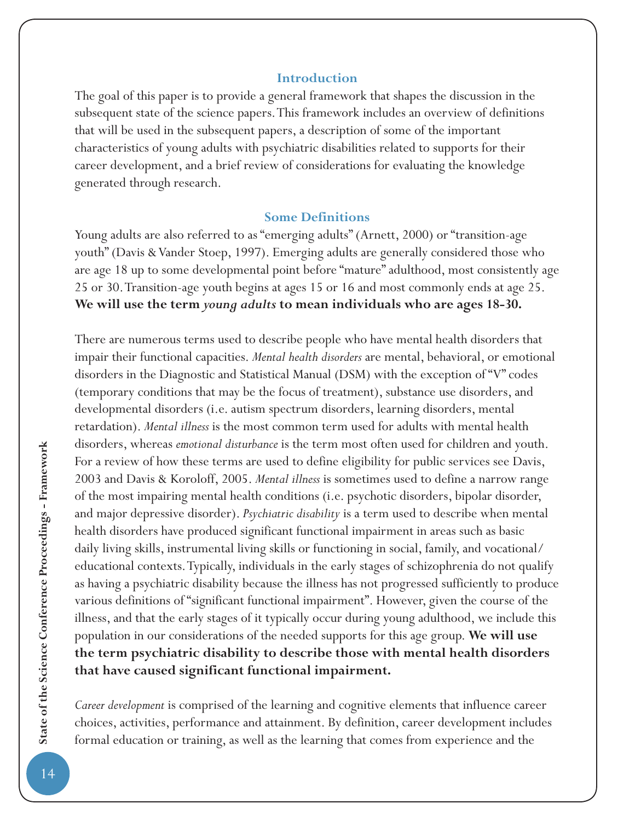### **Introduction**

The goal of this paper is to provide a general framework that shapes the discussion in the subsequent state of the science papers. This framework includes an overview of definitions that will be used in the subsequent papers, a description of some of the important characteristics of young adults with psychiatric disabilities related to supports for their career development, and a brief review of considerations for evaluating the knowledge generated through research.

### **Some Definitions**

Young adults are also referred to as "emerging adults" (Arnett, 2000) or "transition-age youth" (Davis & Vander Stoep, 1997). Emerging adults are generally considered those who are age 18 up to some developmental point before "mature" adulthood, most consistently age 25 or 30. Transition-age youth begins at ages 15 or 16 and most commonly ends at age 25. **We will use the term** *young adults* **to mean individuals who are ages 18-30.**

There are numerous terms used to describe people who have mental health disorders that impair their functional capacities. *Mental health disorders* are mental, behavioral, or emotional disorders in the Diagnostic and Statistical Manual (DSM) with the exception of "V" codes (temporary conditions that may be the focus of treatment), substance use disorders, and developmental disorders (i.e. autism spectrum disorders, learning disorders, mental retardation). *Mental illness* is the most common term used for adults with mental health disorders, whereas *emotional disturbance* is the term most often used for children and youth. For a review of how these terms are used to define eligibility for public services see Davis, 2003 and Davis & Koroloff, 2005. *Mental illness* is sometimes used to define a narrow range of the most impairing mental health conditions (i.e. psychotic disorders, bipolar disorder, and major depressive disorder). *Psychiatric disability* is a term used to describe when mental health disorders have produced significant functional impairment in areas such as basic daily living skills, instrumental living skills or functioning in social, family, and vocational/ educational contexts. Typically, individuals in the early stages of schizophrenia do not qualify as having a psychiatric disability because the illness has not progressed sufficiently to produce various definitions of "significant functional impairment". However, given the course of the illness, and that the early stages of it typically occur during young adulthood, we include this population in our considerations of the needed supports for this age group. **We will use the term psychiatric disability to describe those with mental health disorders that have caused significant functional impairment.**

*Career development* is comprised of the learning and cognitive elements that influence career choices, activities, performance and attainment. By definition, career development includes formal education or training, as well as the learning that comes from experience and the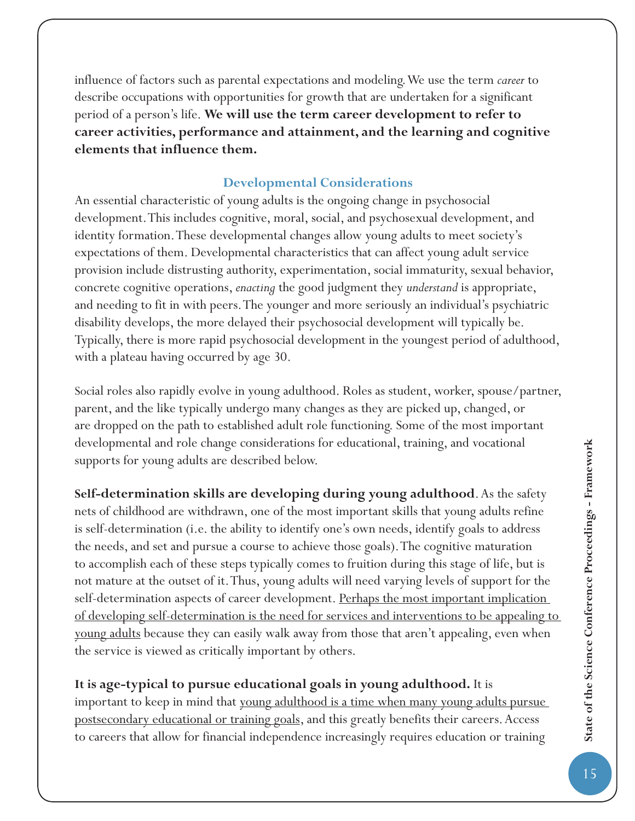influence of factors such as parental expectations and modeling. We use the term *career* to describe occupations with opportunities for growth that are undertaken for a significant period of a person's life. **We will use the term career development to refer to career activities, performance and attainment, and the learning and cognitive elements that influence them.**

# **Developmental Considerations**

An essential characteristic of young adults is the ongoing change in psychosocial development. This includes cognitive, moral, social, and psychosexual development, and identity formation. These developmental changes allow young adults to meet society's expectations of them. Developmental characteristics that can affect young adult service provision include distrusting authority, experimentation, social immaturity, sexual behavior, concrete cognitive operations, *enacting* the good judgment they *understand* is appropriate, and needing to fit in with peers. The younger and more seriously an individual's psychiatric disability develops, the more delayed their psychosocial development will typically be. Typically, there is more rapid psychosocial development in the youngest period of adulthood, with a plateau having occurred by age 30.

Social roles also rapidly evolve in young adulthood. Roles as student, worker, spouse/partner, parent, and the like typically undergo many changes as they are picked up, changed, or are dropped on the path to established adult role functioning. Some of the most important developmental and role change considerations for educational, training, and vocational supports for young adults are described below.

**Self-determination skills are developing during young adulthood**. As the safety nets of childhood are withdrawn, one of the most important skills that young adults refine is self-determination (i.e. the ability to identify one's own needs, identify goals to address the needs, and set and pursue a course to achieve those goals). The cognitive maturation to accomplish each of these steps typically comes to fruition during this stage of life, but is not mature at the outset of it. Thus, young adults will need varying levels of support for the self-determination aspects of career development. Perhaps the most important implication of developing self-determination is the need for services and interventions to be appealing to young adults because they can easily walk away from those that aren't appealing, even when the service is viewed as critically important by others.

## **It is age-typical to pursue educational goals in young adulthood.** It is

important to keep in mind that <u>young adulthood is a time when many young adults pursue</u> postsecondary educational or training goals, and this greatly benefits their careers. Access to careers that allow for financial independence increasingly requires education or training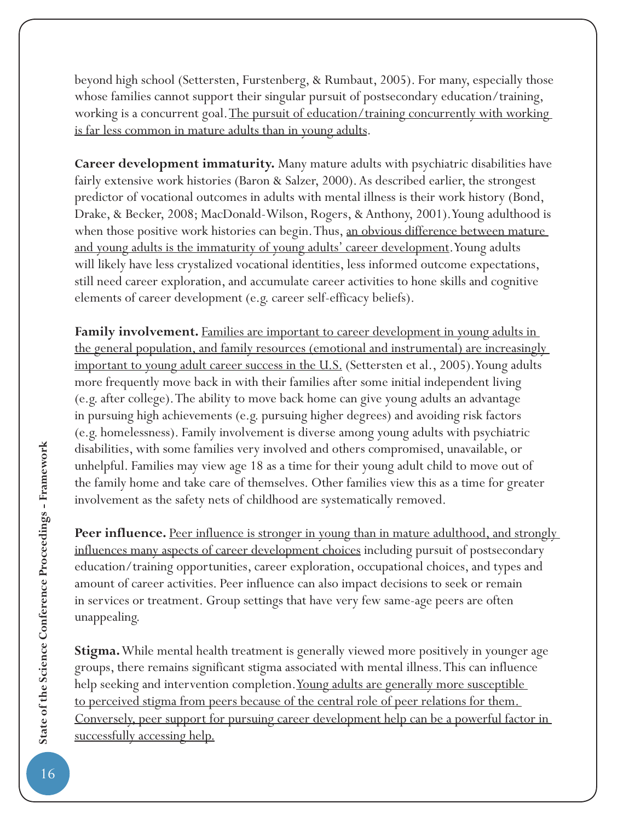beyond high school (Settersten, Furstenberg, & Rumbaut, 2005). For many, especially those whose families cannot support their singular pursuit of postsecondary education/training, working is a concurrent goal. The pursuit of education/training concurrently with working is far less common in mature adults than in young adults.

**Career development immaturity.** Many mature adults with psychiatric disabilities have fairly extensive work histories (Baron & Salzer, 2000). As described earlier, the strongest predictor of vocational outcomes in adults with mental illness is their work history (Bond, Drake, & Becker, 2008; MacDonald-Wilson, Rogers, & Anthony, 2001). Young adulthood is when those positive work histories can begin. Thus, an obvious difference between mature and young adults is the immaturity of young adults' career development. Young adults will likely have less crystalized vocational identities, less informed outcome expectations, still need career exploration, and accumulate career activities to hone skills and cognitive elements of career development (e.g. career self-efficacy beliefs).

Family involvement. Families are important to career development in young adults in the general population, and family resources (emotional and instrumental) are increasingly important to young adult career success in the U.S. (Settersten et al., 2005). Young adults more frequently move back in with their families after some initial independent living (e.g. after college). The ability to move back home can give young adults an advantage in pursuing high achievements (e.g. pursuing higher degrees) and avoiding risk factors (e.g. homelessness). Family involvement is diverse among young adults with psychiatric disabilities, with some families very involved and others compromised, unavailable, or unhelpful. Families may view age 18 as a time for their young adult child to move out of the family home and take care of themselves. Other families view this as a time for greater involvement as the safety nets of childhood are systematically removed.

**Peer influence.** Peer influence is stronger in young than in mature adulthood, and strongly influences many aspects of career development choices including pursuit of postsecondary education/training opportunities, career exploration, occupational choices, and types and amount of career activities. Peer influence can also impact decisions to seek or remain in services or treatment. Group settings that have very few same-age peers are often unappealing.

**Stigma.** While mental health treatment is generally viewed more positively in younger age groups, there remains significant stigma associated with mental illness. This can influence help seeking and intervention completion. Young adults are generally more susceptible to perceived stigma from peers because of the central role of peer relations for them. Conversely, peer support for pursuing career development help can be a powerful factor in successfully accessing help.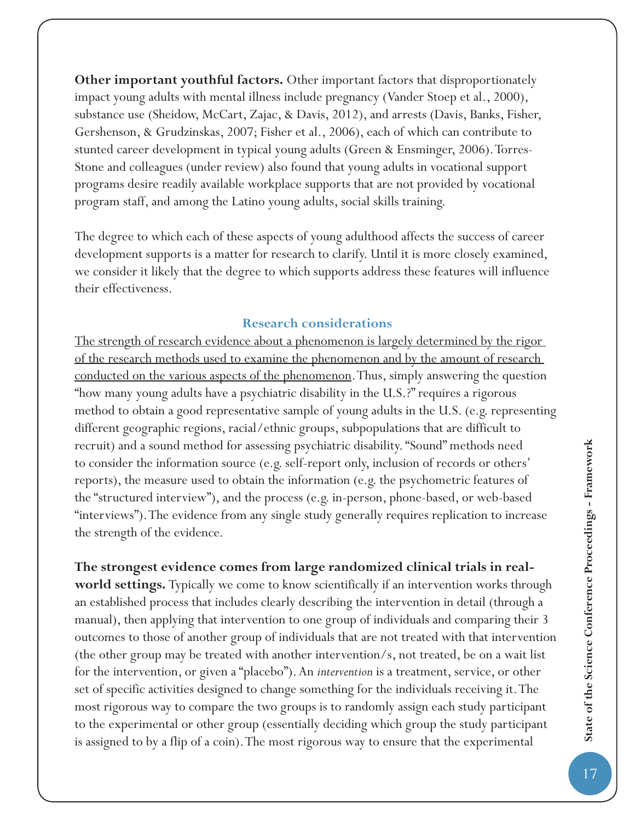**Other important youthful factors.** Other important factors that disproportionately impact young adults with mental illness include pregnancy (Vander Stoep et al., 2000), substance use (Sheidow, McCart, Zajac, & Davis, 2012), and arrests (Davis, Banks, Fisher, Gershenson, & Grudzinskas, 2007; Fisher et al., 2006), each of which can contribute to stunted career development in typical young adults (Green & Ensminger, 2006). Torres-Stone and colleagues (under review) also found that young adults in vocational support programs desire readily available workplace supports that are not provided by vocational program staff, and among the Latino young adults, social skills training.

The degree to which each of these aspects of young adulthood affects the success of career development supports is a matter for research to clarify. Until it is more closely examined, we consider it likely that the degree to which supports address these features will influence their effectiveness.

## **Research considerations**

The strength of research evidence about a phenomenon is largely determined by the rigor of the research methods used to examine the phenomenon and by the amount of research conducted on the various aspects of the phenomenon. Thus, simply answering the question "how many young adults have a psychiatric disability in the U.S.?" requires a rigorous method to obtain a good representative sample of young adults in the U.S. (e.g. representing different geographic regions, racial/ethnic groups, subpopulations that are difficult to recruit) and a sound method for assessing psychiatric disability. "Sound" methods need to consider the information source (e.g. self-report only, inclusion of records or others' reports), the measure used to obtain the information (e.g. the psychometric features of the "structured interview"), and the process (e.g. in-person, phone-based, or web-based "interviews"). The evidence from any single study generally requires replication to increase the strength of the evidence.

**The strongest evidence comes from large randomized clinical trials in realworld settings.** Typically we come to know scientifically if an intervention works through an established process that includes clearly describing the intervention in detail (through a manual), then applying that intervention to one group of individuals and comparing their 3 outcomes to those of another group of individuals that are not treated with that intervention (the other group may be treated with another intervention/s, not treated, be on a wait list for the intervention, or given a "placebo"). An *intervention* is a treatment, service, or other set of specific activities designed to change something for the individuals receiving it. The most rigorous way to compare the two groups is to randomly assign each study participant to the experimental or other group (essentially deciding which group the study participant is assigned to by a flip of a coin). The most rigorous way to ensure that the experimental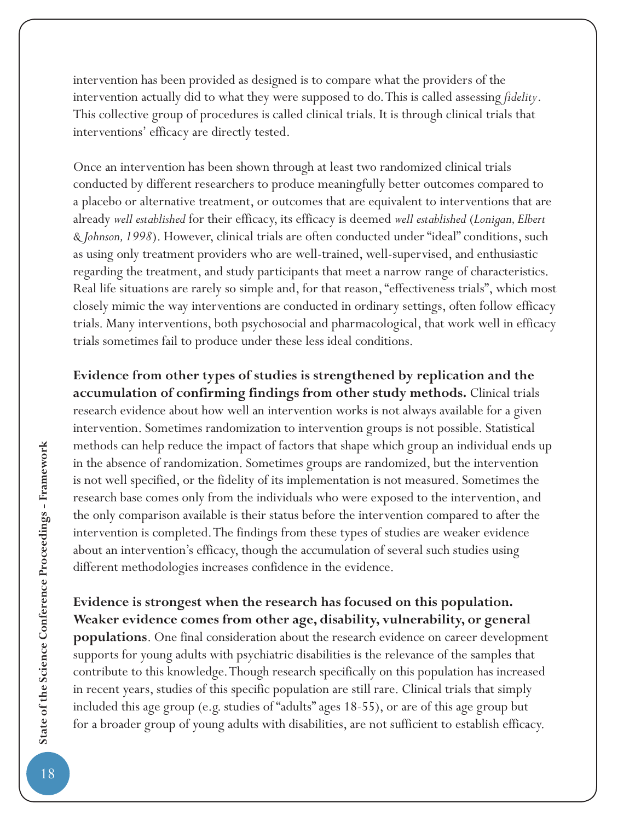intervention has been provided as designed is to compare what the providers of the intervention actually did to what they were supposed to do. This is called assessing *fi delity*. This collective group of procedures is called clinical trials. It is through clinical trials that interventions' efficacy are directly tested.

Once an intervention has been shown through at least two randomized clinical trials conducted by different researchers to produce meaningfully better outcomes compared to a placebo or alternative treatment, or outcomes that are equivalent to interventions that are already *well established* for their efficacy, its efficacy is deemed *well established* (*Lonigan, Elbert & Johnson, 1998*). However, clinical trials are often conducted under "ideal" conditions, such as using only treatment providers who are well-trained, well-supervised, and enthusiastic regarding the treatment, and study participants that meet a narrow range of characteristics. Real life situations are rarely so simple and, for that reason, "effectiveness trials", which most closely mimic the way interventions are conducted in ordinary settings, often follow efficacy trials. Many interventions, both psychosocial and pharmacological, that work well in efficacy trials sometimes fail to produce under these less ideal conditions.

**Evidence from other types of studies is strengthened by replication and the accumulation of confirming findings from other study methods.** Clinical trials research evidence about how well an intervention works is not always available for a given intervention. Sometimes randomization to intervention groups is not possible. Statistical methods can help reduce the impact of factors that shape which group an individual ends up in the absence of randomization. Sometimes groups are randomized, but the intervention is not well specified, or the fidelity of its implementation is not measured. Sometimes the research base comes only from the individuals who were exposed to the intervention, and the only comparison available is their status before the intervention compared to after the intervention is completed. The findings from these types of studies are weaker evidence about an intervention's efficacy, though the accumulation of several such studies using different methodologies increases confidence in the evidence.

**Evidence is strongest when the research has focused on this population. Weaker evidence comes from other age, disability, vulnerability, or general populations**. One final consideration about the research evidence on career development supports for young adults with psychiatric disabilities is the relevance of the samples that contribute to this knowledge. Though research specifically on this population has increased in recent years, studies of this specific population are still rare. Clinical trials that simply included this age group (e.g. studies of "adults" ages 18-55), or are of this age group but for a broader group of young adults with disabilities, are not sufficient to establish efficacy.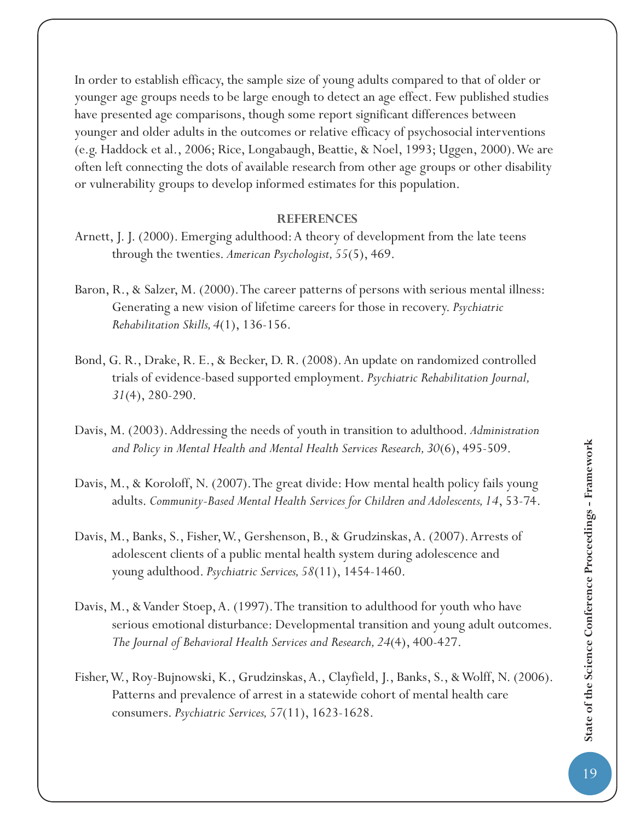In order to establish efficacy, the sample size of young adults compared to that of older or younger age groups needs to be large enough to detect an age effect. Few published studies have presented age comparisons, though some report significant differences between younger and older adults in the outcomes or relative efficacy of psychosocial interventions (e.g. Haddock et al., 2006; Rice, Longabaugh, Beattie, & Noel, 1993; Uggen, 2000). We are often left connecting the dots of available research from other age groups or other disability or vulnerability groups to develop informed estimates for this population.

### **REFERENCES**

- Arnett, J. J. (2000). Emerging adulthood: A theory of development from the late teens through the twenties. *American Psychologist, 55*(5), 469.
- Baron, R., & Salzer, M. (2000). The career patterns of persons with serious mental illness: Generating a new vision of lifetime careers for those in recovery. *Psychiatric Rehabilitation Skills, 4*(1), 136-156.
- Bond, G. R., Drake, R. E., & Becker, D. R. (2008). An update on randomized controlled trials of evidence-based supported employment. *Psychiatric Rehabilitation Journal, 31*(4), 280-290.
- Davis, M. (2003). Addressing the needs of youth in transition to adulthood. *Administration and Policy in Mental Health and Mental Health Services Research, 30*(6), 495-509.
- Davis, M., & Koroloff, N. (2007). The great divide: How mental health policy fails young adults. *Community-Based Mental Health Services for Children and Adolescents, 14*, 53-74.
- Davis, M., Banks, S., Fisher, W., Gershenson, B., & Grudzinskas, A. (2007). Arrests of adolescent clients of a public mental health system during adolescence and young adulthood. *Psychiatric Services, 58*(11), 1454-1460.
- Davis, M., & Vander Stoep, A. (1997). The transition to adulthood for youth who have serious emotional disturbance: Developmental transition and young adult outcomes. *The Journal of Behavioral Health Services and Research, 24*(4), 400-427.
- Fisher, W., Roy-Bujnowski, K., Grudzinskas, A., Clayfield, J., Banks, S., & Wolff, N. (2006). Patterns and prevalence of arrest in a statewide cohort of mental health care consumers. *Psychiatric Services, 57*(11), 1623-1628.